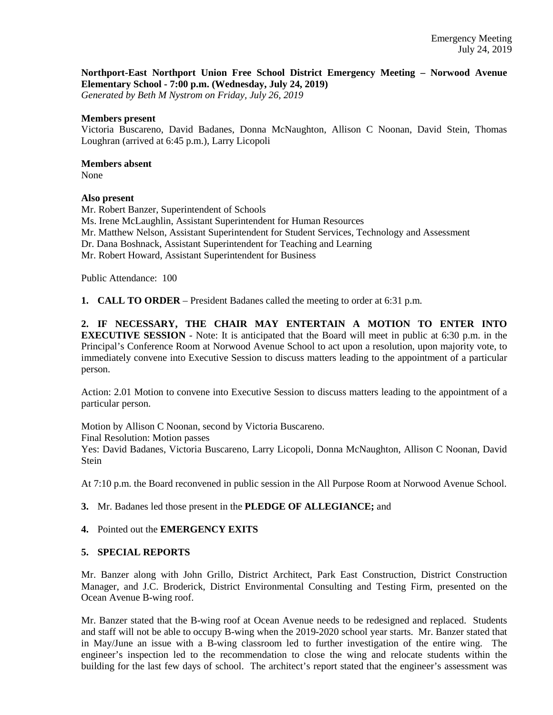#### **Northport-East Northport Union Free School District Emergency Meeting – Norwood Avenue Elementary School - 7:00 p.m. (Wednesday, July 24, 2019)**

*Generated by Beth M Nystrom on Friday, July 26, 2019*

#### **Members present**

Victoria Buscareno, David Badanes, Donna McNaughton, Allison C Noonan, David Stein, Thomas Loughran (arrived at 6:45 p.m.), Larry Licopoli

# **Members absent**

None

# **Also present**

Mr. Robert Banzer, Superintendent of Schools Ms. Irene McLaughlin, Assistant Superintendent for Human Resources Mr. Matthew Nelson, Assistant Superintendent for Student Services, Technology and Assessment Dr. Dana Boshnack, Assistant Superintendent for Teaching and Learning Mr. Robert Howard, Assistant Superintendent for Business

Public Attendance: 100

**1. CALL TO ORDER** – President Badanes called the meeting to order at 6:31 p.m.

**2. IF NECESSARY, THE CHAIR MAY ENTERTAIN A MOTION TO ENTER INTO EXECUTIVE SESSION** - Note: It is anticipated that the Board will meet in public at 6:30 p.m. in the Principal's Conference Room at Norwood Avenue School to act upon a resolution, upon majority vote, to immediately convene into Executive Session to discuss matters leading to the appointment of a particular person.

Action: 2.01 Motion to convene into Executive Session to discuss matters leading to the appointment of a particular person.

Motion by Allison C Noonan, second by Victoria Buscareno. Final Resolution: Motion passes Yes: David Badanes, Victoria Buscareno, Larry Licopoli, Donna McNaughton, Allison C Noonan, David **Stein** 

At 7:10 p.m. the Board reconvened in public session in the All Purpose Room at Norwood Avenue School.

# **3.** Mr. Badanes led those present in the **PLEDGE OF ALLEGIANCE;** and

# **4.** Pointed out the **EMERGENCY EXITS**

# **5. SPECIAL REPORTS**

Mr. Banzer along with John Grillo, District Architect, Park East Construction, District Construction Manager, and J.C. Broderick, District Environmental Consulting and Testing Firm, presented on the Ocean Avenue B-wing roof.

Mr. Banzer stated that the B-wing roof at Ocean Avenue needs to be redesigned and replaced. Students and staff will not be able to occupy B-wing when the 2019-2020 school year starts. Mr. Banzer stated that in May/June an issue with a B-wing classroom led to further investigation of the entire wing. The engineer's inspection led to the recommendation to close the wing and relocate students within the building for the last few days of school. The architect's report stated that the engineer's assessment was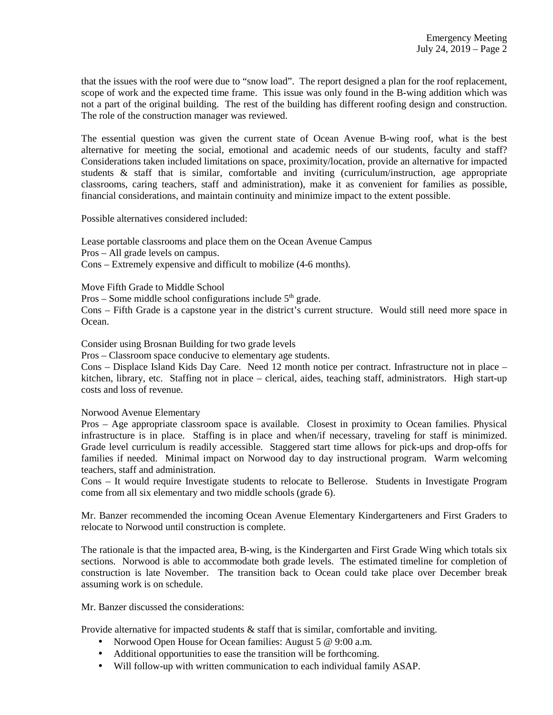that the issues with the roof were due to "snow load". The report designed a plan for the roof replacement, scope of work and the expected time frame. This issue was only found in the B-wing addition which was not a part of the original building. The rest of the building has different roofing design and construction. The role of the construction manager was reviewed.

The essential question was given the current state of Ocean Avenue B-wing roof, what is the best alternative for meeting the social, emotional and academic needs of our students, faculty and staff? Considerations taken included limitations on space, proximity/location, provide an alternative for impacted students & staff that is similar, comfortable and inviting (curriculum/instruction, age appropriate classrooms, caring teachers, staff and administration), make it as convenient for families as possible, financial considerations, and maintain continuity and minimize impact to the extent possible.

Possible alternatives considered included:

Lease portable classrooms and place them on the Ocean Avenue Campus Pros – All grade levels on campus. Cons – Extremely expensive and difficult to mobilize (4-6 months).

Move Fifth Grade to Middle School

Pros – Some middle school configurations include  $5<sup>th</sup>$  grade.

Cons – Fifth Grade is a capstone year in the district's current structure. Would still need more space in Ocean.

Consider using Brosnan Building for two grade levels

Pros – Classroom space conducive to elementary age students.

Cons – Displace Island Kids Day Care. Need 12 month notice per contract. Infrastructure not in place – kitchen, library, etc. Staffing not in place – clerical, aides, teaching staff, administrators. High start-up costs and loss of revenue.

Norwood Avenue Elementary

Pros – Age appropriate classroom space is available. Closest in proximity to Ocean families. Physical infrastructure is in place. Staffing is in place and when/if necessary, traveling for staff is minimized. Grade level curriculum is readily accessible. Staggered start time allows for pick-ups and drop-offs for families if needed. Minimal impact on Norwood day to day instructional program. Warm welcoming teachers, staff and administration.

Cons – It would require Investigate students to relocate to Bellerose. Students in Investigate Program come from all six elementary and two middle schools (grade 6).

Mr. Banzer recommended the incoming Ocean Avenue Elementary Kindergarteners and First Graders to relocate to Norwood until construction is complete.

The rationale is that the impacted area, B-wing, is the Kindergarten and First Grade Wing which totals six sections. Norwood is able to accommodate both grade levels. The estimated timeline for completion of construction is late November. The transition back to Ocean could take place over December break assuming work is on schedule.

Mr. Banzer discussed the considerations:

Provide alternative for impacted students & staff that is similar, comfortable and inviting.

- Norwood Open House for Ocean families: August 5 @ 9:00 a.m.
- Additional opportunities to ease the transition will be forthcoming.
- Will follow-up with written communication to each individual family ASAP.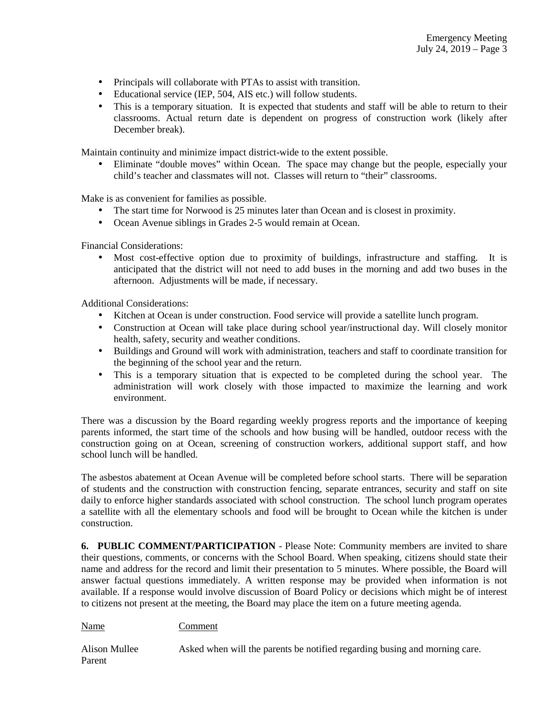- Principals will collaborate with PTAs to assist with transition.
- Educational service (IEP, 504, AIS etc.) will follow students.
- This is a temporary situation. It is expected that students and staff will be able to return to their classrooms. Actual return date is dependent on progress of construction work (likely after December break).

Maintain continuity and minimize impact district-wide to the extent possible.

• Eliminate "double moves" within Ocean. The space may change but the people, especially your child's teacher and classmates will not. Classes will return to "their" classrooms.

Make is as convenient for families as possible.

- The start time for Norwood is 25 minutes later than Ocean and is closest in proximity.
- Ocean Avenue siblings in Grades 2-5 would remain at Ocean.

Financial Considerations:

• Most cost-effective option due to proximity of buildings, infrastructure and staffing. It is anticipated that the district will not need to add buses in the morning and add two buses in the afternoon. Adjustments will be made, if necessary.

Additional Considerations:

- Kitchen at Ocean is under construction. Food service will provide a satellite lunch program.
- Construction at Ocean will take place during school year/instructional day. Will closely monitor health, safety, security and weather conditions.
- Buildings and Ground will work with administration, teachers and staff to coordinate transition for the beginning of the school year and the return.
- This is a temporary situation that is expected to be completed during the school year. The administration will work closely with those impacted to maximize the learning and work environment.

There was a discussion by the Board regarding weekly progress reports and the importance of keeping parents informed, the start time of the schools and how busing will be handled, outdoor recess with the construction going on at Ocean, screening of construction workers, additional support staff, and how school lunch will be handled.

The asbestos abatement at Ocean Avenue will be completed before school starts. There will be separation of students and the construction with construction fencing, separate entrances, security and staff on site daily to enforce higher standards associated with school construction. The school lunch program operates a satellite with all the elementary schools and food will be brought to Ocean while the kitchen is under construction.

**6. PUBLIC COMMENT/PARTICIPATION** - Please Note: Community members are invited to share their questions, comments, or concerns with the School Board. When speaking, citizens should state their name and address for the record and limit their presentation to 5 minutes. Where possible, the Board will answer factual questions immediately. A written response may be provided when information is not available. If a response would involve discussion of Board Policy or decisions which might be of interest to citizens not present at the meeting, the Board may place the item on a future meeting agenda.

Name Comment

Alison Mullee Asked when will the parents be notified regarding busing and morning care. Parent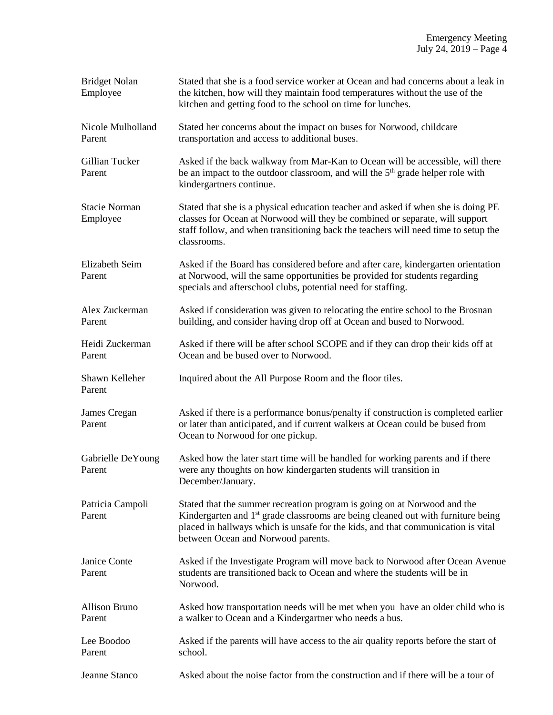| <b>Bridget Nolan</b><br>Employee | Stated that she is a food service worker at Ocean and had concerns about a leak in<br>the kitchen, how will they maintain food temperatures without the use of the<br>kitchen and getting food to the school on time for lunches.                                                                  |
|----------------------------------|----------------------------------------------------------------------------------------------------------------------------------------------------------------------------------------------------------------------------------------------------------------------------------------------------|
| Nicole Mulholland<br>Parent      | Stated her concerns about the impact on buses for Norwood, childcare<br>transportation and access to additional buses.                                                                                                                                                                             |
| Gillian Tucker<br>Parent         | Asked if the back walkway from Mar-Kan to Ocean will be accessible, will there<br>be an impact to the outdoor classroom, and will the 5 <sup>th</sup> grade helper role with<br>kindergartners continue.                                                                                           |
| <b>Stacie Norman</b><br>Employee | Stated that she is a physical education teacher and asked if when she is doing PE<br>classes for Ocean at Norwood will they be combined or separate, will support<br>staff follow, and when transitioning back the teachers will need time to setup the<br>classrooms.                             |
| Elizabeth Seim<br>Parent         | Asked if the Board has considered before and after care, kindergarten orientation<br>at Norwood, will the same opportunities be provided for students regarding<br>specials and afterschool clubs, potential need for staffing.                                                                    |
| Alex Zuckerman<br>Parent         | Asked if consideration was given to relocating the entire school to the Brosnan<br>building, and consider having drop off at Ocean and bused to Norwood.                                                                                                                                           |
| Heidi Zuckerman<br>Parent        | Asked if there will be after school SCOPE and if they can drop their kids off at<br>Ocean and be bused over to Norwood.                                                                                                                                                                            |
| Shawn Kelleher<br>Parent         | Inquired about the All Purpose Room and the floor tiles.                                                                                                                                                                                                                                           |
| James Cregan<br>Parent           | Asked if there is a performance bonus/penalty if construction is completed earlier<br>or later than anticipated, and if current walkers at Ocean could be bused from<br>Ocean to Norwood for one pickup.                                                                                           |
| Gabrielle DeYoung<br>Parent      | Asked how the later start time will be handled for working parents and if there<br>were any thoughts on how kindergarten students will transition in<br>December/January.                                                                                                                          |
| Patricia Campoli<br>Parent       | Stated that the summer recreation program is going on at Norwood and the<br>Kindergarten and 1 <sup>st</sup> grade classrooms are being cleaned out with furniture being<br>placed in hallways which is unsafe for the kids, and that communication is vital<br>between Ocean and Norwood parents. |
| Janice Conte<br>Parent           | Asked if the Investigate Program will move back to Norwood after Ocean Avenue<br>students are transitioned back to Ocean and where the students will be in<br>Norwood.                                                                                                                             |
| <b>Allison Bruno</b><br>Parent   | Asked how transportation needs will be met when you have an older child who is<br>a walker to Ocean and a Kindergartner who needs a bus.                                                                                                                                                           |
| Lee Boodoo<br>Parent             | Asked if the parents will have access to the air quality reports before the start of<br>school.                                                                                                                                                                                                    |
| Jeanne Stanco                    | Asked about the noise factor from the construction and if there will be a tour of                                                                                                                                                                                                                  |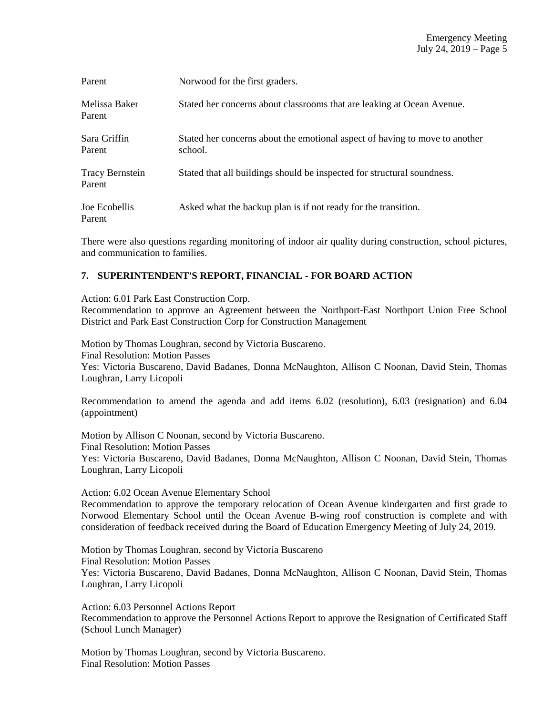| Parent                           | Norwood for the first graders.                                                         |
|----------------------------------|----------------------------------------------------------------------------------------|
| Melissa Baker<br>Parent          | Stated her concerns about classrooms that are leaking at Ocean Avenue.                 |
| Sara Griffin<br>Parent           | Stated her concerns about the emotional aspect of having to move to another<br>school. |
| <b>Tracy Bernstein</b><br>Parent | Stated that all buildings should be inspected for structural soundness.                |
| Joe Ecobellis<br>Parent          | Asked what the backup plan is if not ready for the transition.                         |

There were also questions regarding monitoring of indoor air quality during construction, school pictures, and communication to families.

# **7. SUPERINTENDENT'S REPORT, FINANCIAL - FOR BOARD ACTION**

Action: 6.01 Park East Construction Corp.

Recommendation to approve an Agreement between the Northport-East Northport Union Free School District and Park East Construction Corp for Construction Management

Motion by Thomas Loughran, second by Victoria Buscareno. Final Resolution: Motion Passes Yes: Victoria Buscareno, David Badanes, Donna McNaughton, Allison C Noonan, David Stein, Thomas Loughran, Larry Licopoli

Recommendation to amend the agenda and add items 6.02 (resolution), 6.03 (resignation) and 6.04 (appointment)

Motion by Allison C Noonan, second by Victoria Buscareno. Final Resolution: Motion Passes Yes: Victoria Buscareno, David Badanes, Donna McNaughton, Allison C Noonan, David Stein, Thomas Loughran, Larry Licopoli

Action: 6.02 Ocean Avenue Elementary School

Recommendation to approve the temporary relocation of Ocean Avenue kindergarten and first grade to Norwood Elementary School until the Ocean Avenue B-wing roof construction is complete and with consideration of feedback received during the Board of Education Emergency Meeting of July 24, 2019.

Motion by Thomas Loughran, second by Victoria Buscareno Final Resolution: Motion Passes Yes: Victoria Buscareno, David Badanes, Donna McNaughton, Allison C Noonan, David Stein, Thomas Loughran, Larry Licopoli

Action: 6.03 Personnel Actions Report Recommendation to approve the Personnel Actions Report to approve the Resignation of Certificated Staff (School Lunch Manager)

Motion by Thomas Loughran, second by Victoria Buscareno. Final Resolution: Motion Passes